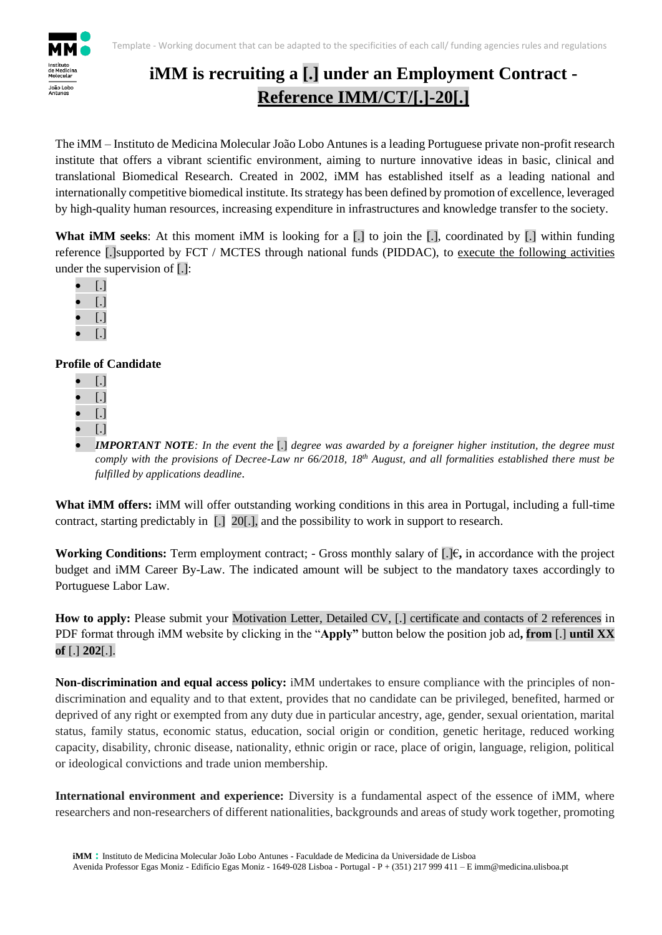

## **iMM is recruiting a [.] under an Employment Contract - Reference IMM/CT/[.]-20[.]**

The iMM – Instituto de Medicina Molecular João Lobo Antunes is a leading Portuguese private non-profit research institute that offers a vibrant scientific environment, aiming to nurture innovative ideas in basic, clinical and translational Biomedical Research. Created in 2002, iMM has established itself as a leading national and internationally competitive biomedical institute. Its strategy has been defined by promotion of excellence, leveraged by high-quality human resources, increasing expenditure in infrastructures and knowledge transfer to the society.

**What iMM seeks:** At this moment iMM is looking for a [.] to join the [.], coordinated by [.] within funding reference [.]supported by FCT / MCTES through national funds (PIDDAC), to execute the following activities under the supervision of [.]:

- [.]
- [.]
- [.]
- [.]

## **Profile of Candidate**

- [.]
- [.]
- [.]
- [.]

 *IMPORTANT NOTE: In the event the* [.] *degree was awarded by a foreigner higher institution, the degree must comply with the provisions of Decree-Law nr 66/2018, 18th August, and all formalities established there must be fulfilled by applications deadline.*

**What iMM offers:** iMM will offer outstanding working conditions in this area in Portugal, including a full-time contract, starting predictably in [.] 20[.], and the possibility to work in support to research.

**Working Conditions:** Term employment contract; - Gross monthly salary of [.]€**,** in accordance with the project budget and iMM Career By-Law. The indicated amount will be subject to the mandatory taxes accordingly to Portuguese Labor Law.

**How to apply:** Please submit your Motivation Letter, Detailed CV, [.] certificate and contacts of 2 references in PDF format through iMM website by clicking in the "**Apply"** button below the position job ad**, from** [.] **until XX of** [.] **202**[.].

**Non-discrimination and equal access policy:** iMM undertakes to ensure compliance with the principles of nondiscrimination and equality and to that extent, provides that no candidate can be privileged, benefited, harmed or deprived of any right or exempted from any duty due in particular ancestry, age, gender, sexual orientation, marital status, family status, economic status, education, social origin or condition, genetic heritage, reduced working capacity, disability, chronic disease, nationality, ethnic origin or race, place of origin, language, religion, political or ideological convictions and trade union membership.

**International environment and experience:** Diversity is a fundamental aspect of the essence of iMM, where researchers and non-researchers of different nationalities, backgrounds and areas of study work together, promoting